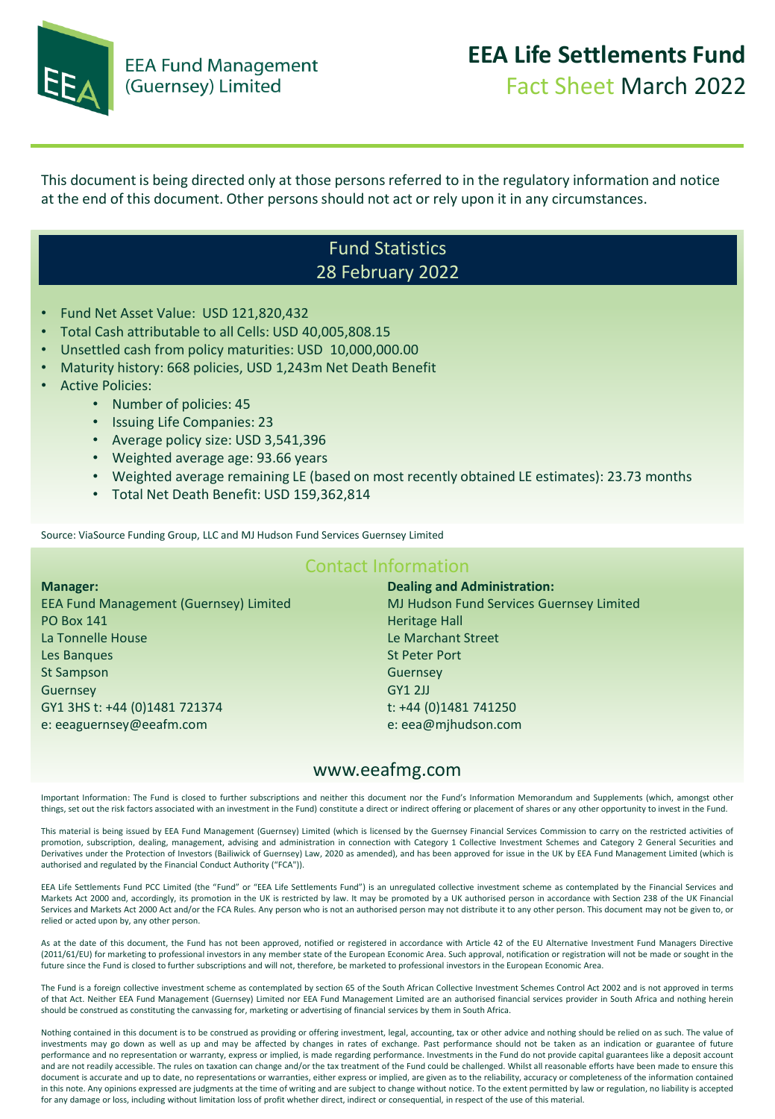

This document is being directed only at those persons referred to in the regulatory information and notice at the end of this document. Other persons should not act or rely upon it in any circumstances.

### Fund Statistics 28 February 2022

- Fund Net Asset Value: USD 121,820,432
- Total Cash attributable to all Cells: USD 40,005,808.15
- Unsettled cash from policy maturities: USD 10,000,000.00
- Maturity history: 668 policies, USD 1,243m Net Death Benefit
- Active Policies:
	- Number of policies: 45
	- Issuing Life Companies: 23
	- Average policy size: USD 3,541,396
	- Weighted average age: 93.66 years
	- Weighted average remaining LE (based on most recently obtained LE estimates): 23.73 months
	- Total Net Death Benefit: USD 159,362,814

Source: ViaSource Funding Group, LLC and MJ Hudson Fund Services Guernsey Limited

#### Contact Information

**Manager:**  EEA Fund Management (Guernsey) Limited PO Box 141 La Tonnelle House Les Banques St Sampson Guernsey GY1 3HS t: +44 (0)1481 721374 e: eeaguernsey@eeafm.com

**Dealing and Administration:**  MJ Hudson Fund Services Guernsey Limited Heritage Hall Le Marchant Street St Peter Port Guernsey GY1 2JJ t: +44 (0)1481 741250 e: eea@mjhudson.com

#### www.eeafmg.com

Important Information: The Fund is closed to further subscriptions and neither this document nor the Fund's Information Memorandum and Supplements (which, amongst other things, set out the risk factors associated with an investment in the Fund) constitute a direct or indirect offering or placement of shares or any other opportunity to invest in the Fund.

This material is being issued by EEA Fund Management (Guernsey) Limited (which is licensed by the Guernsey Financial Services Commission to carry on the restricted activities of promotion, subscription, dealing, management, advising and administration in connection with Category 1 Collective Investment Schemes and Category 2 General Securities and Derivatives under the Protection of Investors (Bailiwick of Guernsey) Law, 2020 as amended), and has been approved for issue in the UK by EEA Fund Management Limited (which is authorised and regulated by the Financial Conduct Authority ("FCA")).

EEA Life Settlements Fund PCC Limited (the "Fund" or "EEA Life Settlements Fund") is an unregulated collective investment scheme as contemplated by the Financial Services and Markets Act 2000 and, accordingly, its promotion in the UK is restricted by law. It may be promoted by a UK authorised person in accordance with Section 238 of the UK Financial Services and Markets Act 2000 Act and/or the FCA Rules. Any person who is not an authorised person may not distribute it to any other person. This document may not be given to, or relied or acted upon by, any other person.

As at the date of this document, the Fund has not been approved, notified or registered in accordance with Article 42 of the EU Alternative Investment Fund Managers Directive (2011/61/EU) for marketing to professional investors in any member state of the European Economic Area. Such approval, notification or registration will not be made or sought in the future since the Fund is closed to further subscriptions and will not, therefore, be marketed to professional investors in the European Economic Area.

The Fund is a foreign collective investment scheme as contemplated by section 65 of the South African Collective Investment Schemes Control Act 2002 and is not approved in terms of that Act. Neither EEA Fund Management (Guernsey) Limited nor EEA Fund Management Limited are an authorised financial services provider in South Africa and nothing herein should be construed as constituting the canvassing for, marketing or advertising of financial services by them in South Africa.

Nothing contained in this document is to be construed as providing or offering investment, legal, accounting, tax or other advice and nothing should be relied on as such. The value of investments may go down as well as up and may be affected by changes in rates of exchange. Past performance should not be taken as an indication or guarantee of future performance and no representation or warranty, express or implied, is made regarding performance. Investments in the Fund do not provide capital guarantees like a deposit account and are not readily accessible. The rules on taxation can change and/or the tax treatment of the Fund could be challenged. Whilst all reasonable efforts have been made to ensure this document is accurate and up to date, no representations or warranties, either express or implied, are given as to the reliability, accuracy or completeness of the information contained in this note. Any opinions expressed are judgments at the time of writing and are subject to change without notice. To the extent permitted by law or regulation, no liability is accepted for any damage or loss, including without limitation loss of profit whether direct, indirect or consequential, in respect of the use of this material.